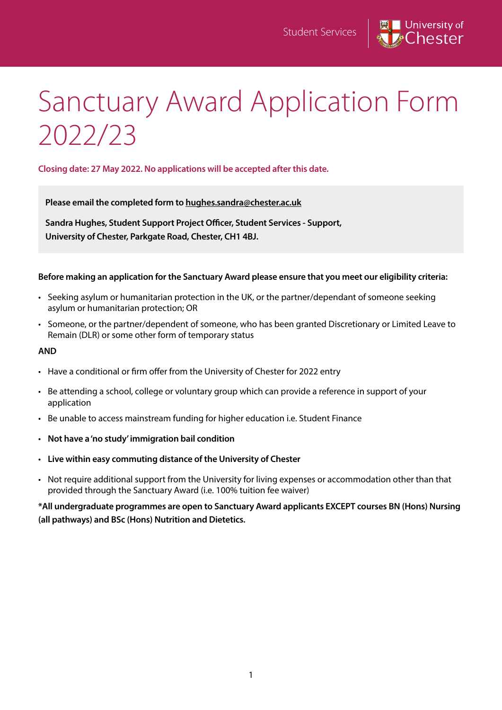

# Sanctuary Award Application Form 2022/23

**Closing date: 27 May 2022. No applications will be accepted after this date.**

**Please email the completed form to hughes.sandra@chester.ac.uk**

**Sandra Hughes, Student Support Project Officer, Student Services - Support, University of Chester, Parkgate Road, Chester, CH1 4BJ.**

#### **Before making an application for the Sanctuary Award please ensure that you meet our eligibility criteria:**

- Seeking asylum or humanitarian protection in the UK, or the partner/dependant of someone seeking asylum or humanitarian protection; OR
- Someone, or the partner/dependent of someone, who has been granted Discretionary or Limited Leave to Remain (DLR) or some other form of temporary status

**AND**

- Have a conditional or firm offer from the University of Chester for 2022 entry
- Be attending a school, college or voluntary group which can provide a reference in support of your application
- Be unable to access mainstream funding for higher education i.e. Student Finance
- **Not have a 'no study' immigration bail condition**
- **Live within easy commuting distance of the University of Chester**
- Not require additional support from the University for living expenses or accommodation other than that provided through the Sanctuary Award (i.e. 100% tuition fee waiver)

**\*All undergraduate programmes are open to Sanctuary Award applicants EXCEPT courses BN (Hons) Nursing (all pathways) and BSc (Hons) Nutrition and Dietetics.**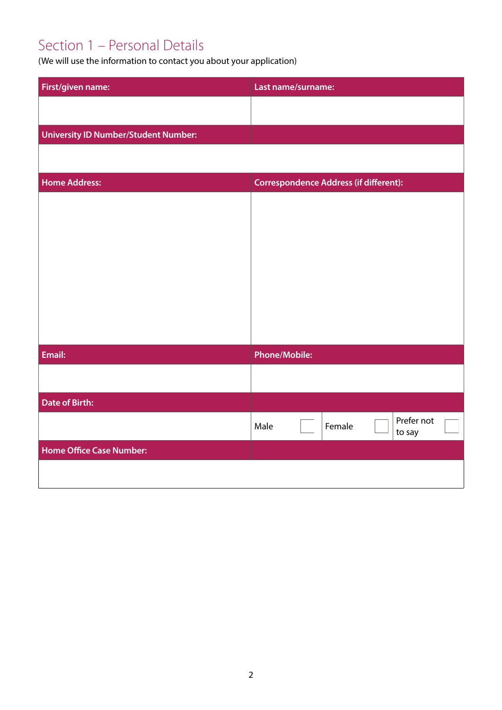### Section 1 – Personal Details

(We will use the information to contact you about your application)

| First/given name:                           | Last name/surname:                            |
|---------------------------------------------|-----------------------------------------------|
|                                             |                                               |
| <b>University ID Number/Student Number:</b> |                                               |
|                                             |                                               |
| <b>Home Address:</b>                        | <b>Correspondence Address (if different):</b> |
|                                             |                                               |
|                                             |                                               |
|                                             |                                               |
|                                             |                                               |
|                                             |                                               |
|                                             |                                               |
|                                             |                                               |
|                                             |                                               |
| Email:                                      | <b>Phone/Mobile:</b>                          |
|                                             |                                               |
| <b>Date of Birth:</b>                       |                                               |
|                                             | Prefer not<br>Male<br>Female<br>to say        |
| <b>Home Office Case Number:</b>             |                                               |
|                                             |                                               |
|                                             |                                               |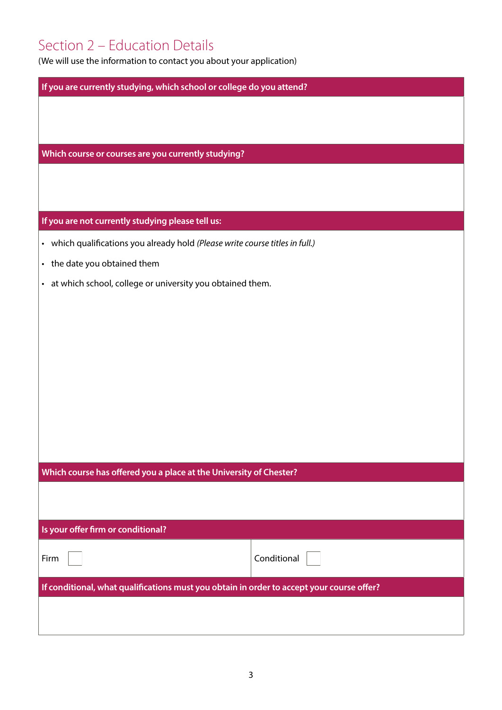### Section 2 – Education Details

(We will use the information to contact you about your application)

**If you are currently studying, which school or college do you attend?**

**Which course or courses are you currently studying?**

#### **If you are not currently studying please tell us:**

- which qualifications you already hold *(Please write course titles in full.)*
- the date you obtained them
- at which school, college or university you obtained them.

**Which course has offered you a place at the University of Chester?**

#### **Is your offer firm or conditional?**

| Firm $\vert$ $\vert$                                                                      | Conditional |  |  |  |
|-------------------------------------------------------------------------------------------|-------------|--|--|--|
| If conditional, what qualifications must you obtain in order to accept your course offer? |             |  |  |  |
|                                                                                           |             |  |  |  |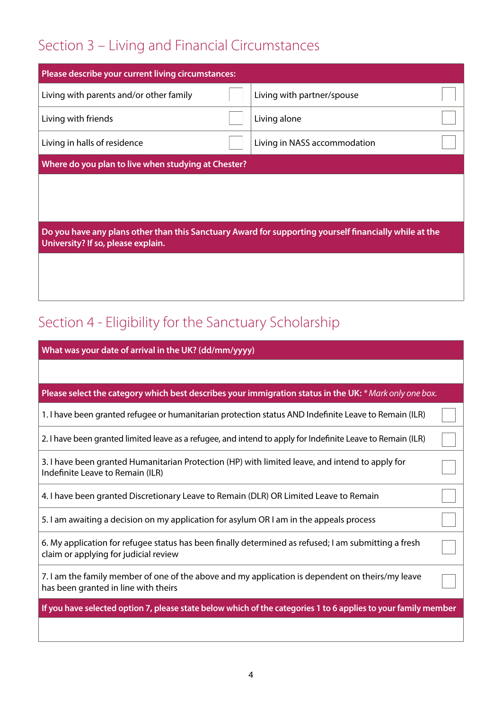### Section 3 – Living and Financial Circumstances

| Please describe your current living circumstances:                                                                                           |  |                              |  |  |  |  |
|----------------------------------------------------------------------------------------------------------------------------------------------|--|------------------------------|--|--|--|--|
| Living with parents and/or other family                                                                                                      |  | Living with partner/spouse   |  |  |  |  |
| Living with friends                                                                                                                          |  | Living alone                 |  |  |  |  |
| Living in halls of residence                                                                                                                 |  | Living in NASS accommodation |  |  |  |  |
| Where do you plan to live when studying at Chester?                                                                                          |  |                              |  |  |  |  |
|                                                                                                                                              |  |                              |  |  |  |  |
|                                                                                                                                              |  |                              |  |  |  |  |
| Do you have any plans other than this Sanctuary Award for supporting yourself financially while at the<br>University? If so, please explain. |  |                              |  |  |  |  |
|                                                                                                                                              |  |                              |  |  |  |  |
|                                                                                                                                              |  |                              |  |  |  |  |

## Section 4 - Eligibility for the Sanctuary Scholarship

| What was your date of arrival in the UK? (dd/mm/yyyy)                                                                                         |  |  |  |  |
|-----------------------------------------------------------------------------------------------------------------------------------------------|--|--|--|--|
|                                                                                                                                               |  |  |  |  |
| Please select the category which best describes your immigration status in the UK: * Mark only one box.                                       |  |  |  |  |
| 1. I have been granted refugee or humanitarian protection status AND Indefinite Leave to Remain (ILR)                                         |  |  |  |  |
| 2. I have been granted limited leave as a refugee, and intend to apply for Indefinite Leave to Remain (ILR)                                   |  |  |  |  |
| 3. I have been granted Humanitarian Protection (HP) with limited leave, and intend to apply for<br>Indefinite Leave to Remain (ILR)           |  |  |  |  |
| 4. I have been granted Discretionary Leave to Remain (DLR) OR Limited Leave to Remain                                                         |  |  |  |  |
| 5. I am awaiting a decision on my application for asylum OR I am in the appeals process                                                       |  |  |  |  |
| 6. My application for refugee status has been finally determined as refused; I am submitting a fresh<br>claim or applying for judicial review |  |  |  |  |
| 7. I am the family member of one of the above and my application is dependent on theirs/my leave<br>has been granted in line with theirs      |  |  |  |  |
| If you have selected option 7, please state below which of the categories 1 to 6 applies to your family member                                |  |  |  |  |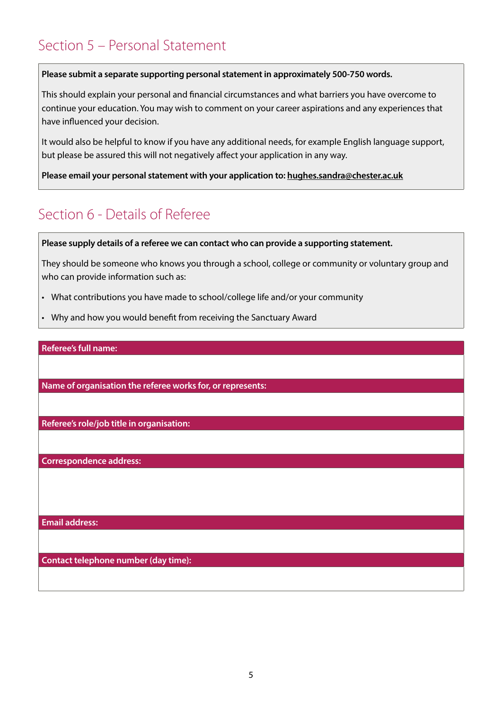### Section 5 – Personal Statement

**Please submit a separate supporting personal statement in approximately 500-750 words.** 

This should explain your personal and financial circumstances and what barriers you have overcome to continue your education. You may wish to comment on your career aspirations and any experiences that have influenced your decision.

It would also be helpful to know if you have any additional needs, for example English language support, but please be assured this will not negatively affect your application in any way.

**Please email your personal statement with your application to: hughes.sandra@chester.ac.uk**

### Section 6 - Details of Referee

**Please supply details of a referee we can contact who can provide a supporting statement.** 

They should be someone who knows you through a school, college or community or voluntary group and who can provide information such as:

- What contributions you have made to school/college life and/or your community
- Why and how you would benefit from receiving the Sanctuary Award

#### **Referee's full name:**

**Name of organisation the referee works for, or represents:**

**Referee's role/job title in organisation:**

**Correspondence address:**

**Email address:** 

**Contact telephone number (day time):**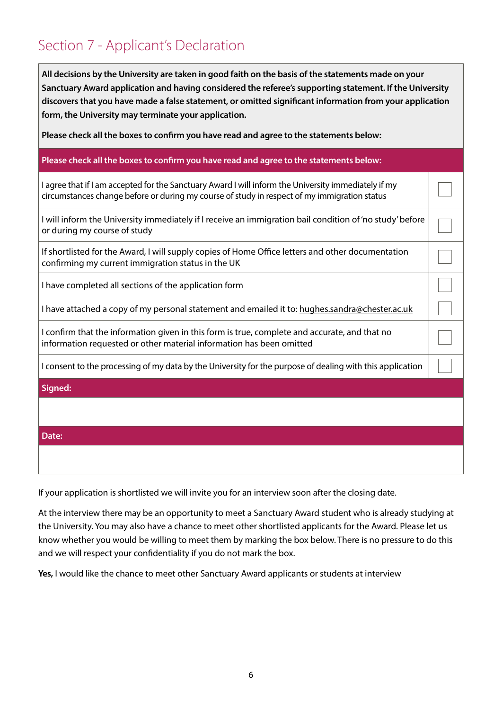### Section 7 - Applicant's Declaration

**All decisions by the University are taken in good faith on the basis of the statements made on your Sanctuary Award application and having considered the referee's supporting statement. If the University discovers that you have made a false statement, or omitted significant information from your application form, the University may terminate your application.**

**Please check all the boxes to confirm you have read and agree to the statements below:**

#### **Please check all the boxes to confirm you have read and agree to the statements below:**

I agree that if I am accepted for the Sanctuary Award I will inform the University immediately if my circumstances change before or during my course of study in respect of my immigration status

I will inform the University immediately if I receive an immigration bail condition of 'no study' before or during my course of study

If shortlisted for the Award, I will supply copies of Home Office letters and other documentation confirming my current immigration status in the UK

I have completed all sections of the application form

I have attached a copy of my personal statement and emailed it to: hughes.sandra@chester.ac.uk

I confirm that the information given in this form is true, complete and accurate, and that no information requested or other material information has been omitted

I consent to the processing of my data by the University for the purpose of dealing with this application

**Signed:**

**Date:**

If your application is shortlisted we will invite you for an interview soon after the closing date.

At the interview there may be an opportunity to meet a Sanctuary Award student who is already studying at the University. You may also have a chance to meet other shortlisted applicants for the Award. Please let us know whether you would be willing to meet them by marking the box below. There is no pressure to do this and we will respect your confidentiality if you do not mark the box.

**Yes,** I would like the chance to meet other Sanctuary Award applicants or students at interview